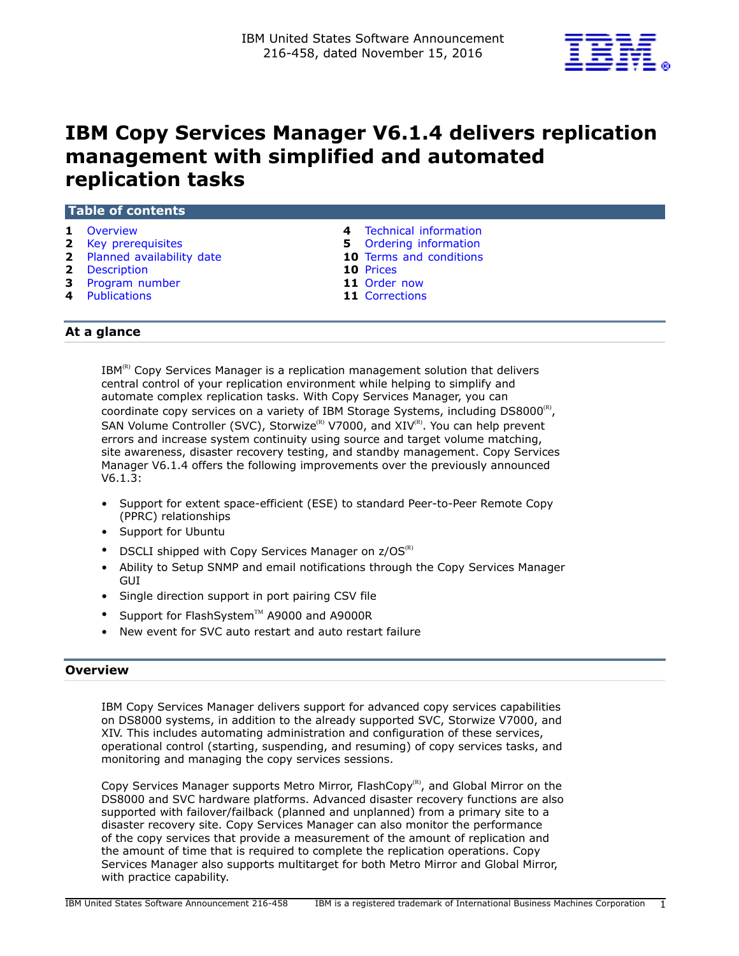

# **IBM Copy Services Manager V6.1.4 delivers replication management with simplified and automated replication tasks**

| Table of contents                                                                                                       |  |                                                                                                                             |  |
|-------------------------------------------------------------------------------------------------------------------------|--|-----------------------------------------------------------------------------------------------------------------------------|--|
| 1 Overview<br>2 Key prerequisites<br>2 Planned availability date<br>2 Description<br>3 Program number<br>4 Publications |  | 4 Technical information<br>5 Ordering information<br>10 Terms and conditions<br>10 Prices<br>11 Order now<br>11 Corrections |  |
| At a glance                                                                                                             |  |                                                                                                                             |  |

IBM<sup>(R)</sup> Copy Services Manager is a replication management solution that delivers central control of your replication environment while helping to simplify and automate complex replication tasks. With Copy Services Manager, you can coordinate copy services on a variety of IBM Storage Systems, including DS8000 $^{\text{\tiny{(R)}}}$ , SAN Volume Controller (SVC), Storwize<sup>(R)</sup> V7000, and XIV<sup>(R)</sup>. You can help prevent errors and increase system continuity using source and target volume matching, site awareness, disaster recovery testing, and standby management. Copy Services Manager V6.1.4 offers the following improvements over the previously announced V6.1.3:

- Support for extent space-efficient (ESE) to standard Peer-to-Peer Remote Copy (PPRC) relationships
- Support for Ubuntu
- DSCLI shipped with Copy Services Manager on  $z/OS^{(R)}$
- Ability to Setup SNMP and email notifications through the Copy Services Manager **GUI**
- Single direction support in port pairing CSV file
- Support for FlashSystem $TM$  A9000 and A9000R
- New event for SVC auto restart and auto restart failure

# <span id="page-0-0"></span>**Overview**

IBM Copy Services Manager delivers support for advanced copy services capabilities on DS8000 systems, in addition to the already supported SVC, Storwize V7000, and XIV. This includes automating administration and configuration of these services, operational control (starting, suspending, and resuming) of copy services tasks, and monitoring and managing the copy services sessions.

Copy Services Manager supports Metro Mirror, FlashCopy ${}^{\textrm{\tiny{(R)}}}$ , and Global Mirror on the DS8000 and SVC hardware platforms. Advanced disaster recovery functions are also supported with failover/failback (planned and unplanned) from a primary site to a disaster recovery site. Copy Services Manager can also monitor the performance of the copy services that provide a measurement of the amount of replication and the amount of time that is required to complete the replication operations. Copy Services Manager also supports multitarget for both Metro Mirror and Global Mirror, with practice capability.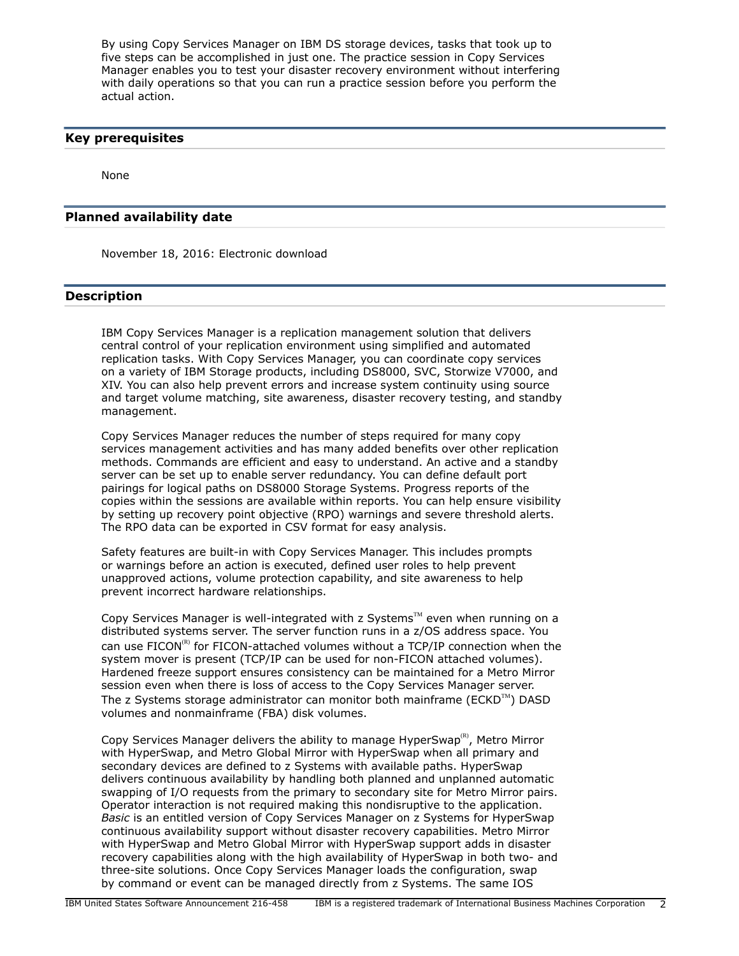By using Copy Services Manager on IBM DS storage devices, tasks that took up to five steps can be accomplished in just one. The practice session in Copy Services Manager enables you to test your disaster recovery environment without interfering with daily operations so that you can run a practice session before you perform the actual action.

# <span id="page-1-0"></span>**Key prerequisites**

None

## <span id="page-1-1"></span>**Planned availability date**

November 18, 2016: Electronic download

# <span id="page-1-2"></span>**Description**

IBM Copy Services Manager is a replication management solution that delivers central control of your replication environment using simplified and automated replication tasks. With Copy Services Manager, you can coordinate copy services on a variety of IBM Storage products, including DS8000, SVC, Storwize V7000, and XIV. You can also help prevent errors and increase system continuity using source and target volume matching, site awareness, disaster recovery testing, and standby management.

Copy Services Manager reduces the number of steps required for many copy services management activities and has many added benefits over other replication methods. Commands are efficient and easy to understand. An active and a standby server can be set up to enable server redundancy. You can define default port pairings for logical paths on DS8000 Storage Systems. Progress reports of the copies within the sessions are available within reports. You can help ensure visibility by setting up recovery point objective (RPO) warnings and severe threshold alerts. The RPO data can be exported in CSV format for easy analysis.

Safety features are built-in with Copy Services Manager. This includes prompts or warnings before an action is executed, defined user roles to help prevent unapproved actions, volume protection capability, and site awareness to help prevent incorrect hardware relationships.

Copy Services Manager is well-integrated with z Systems $TM$  even when running on a distributed systems server. The server function runs in a z/OS address space. You can use  $FICON^{(R)}$  for FICON-attached volumes without a TCP/IP connection when the system mover is present (TCP/IP can be used for non-FICON attached volumes). Hardened freeze support ensures consistency can be maintained for a Metro Mirror session even when there is loss of access to the Copy Services Manager server. The z Systems storage administrator can monitor both mainframe ( $ECKD^{TM}$ ) DASD volumes and nonmainframe (FBA) disk volumes.

Copy Services Manager delivers the ability to manage HyperSwap<sup>(R)</sup>, Metro Mirror with HyperSwap, and Metro Global Mirror with HyperSwap when all primary and secondary devices are defined to z Systems with available paths. HyperSwap delivers continuous availability by handling both planned and unplanned automatic swapping of I/O requests from the primary to secondary site for Metro Mirror pairs. Operator interaction is not required making this nondisruptive to the application. *Basic* is an entitled version of Copy Services Manager on z Systems for HyperSwap continuous availability support without disaster recovery capabilities. Metro Mirror with HyperSwap and Metro Global Mirror with HyperSwap support adds in disaster recovery capabilities along with the high availability of HyperSwap in both two- and three-site solutions. Once Copy Services Manager loads the configuration, swap by command or event can be managed directly from z Systems. The same IOS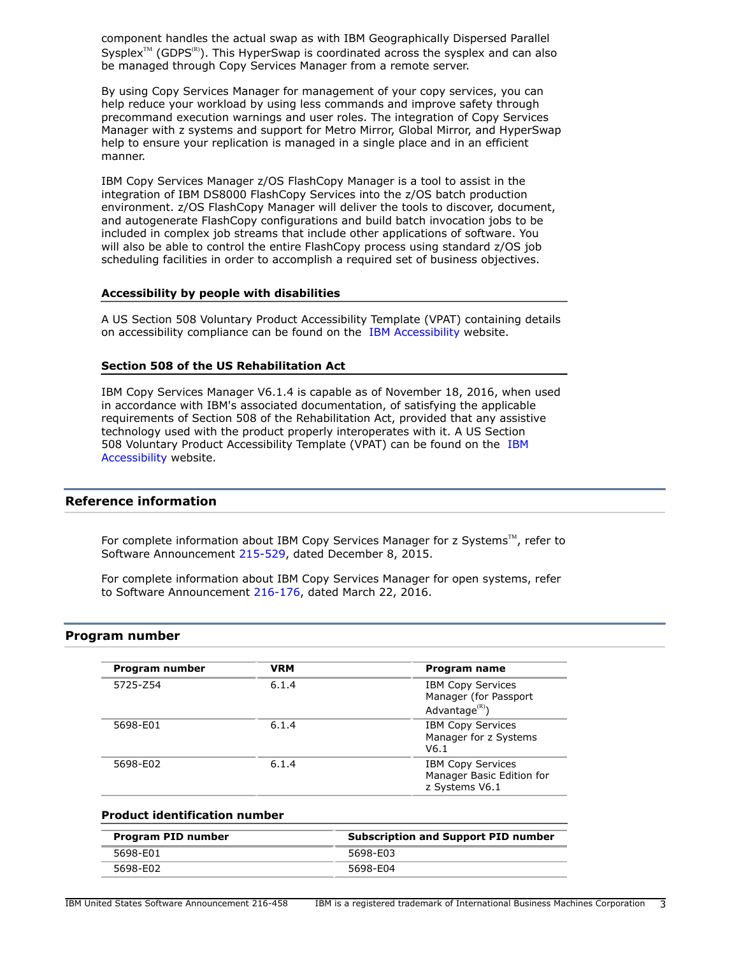component handles the actual swap as with IBM Geographically Dispersed Parallel Sysplex<sup> $M$ </sup> (GDPS<sup>(R)</sup>). This HyperSwap is coordinated across the sysplex and can also be managed through Copy Services Manager from a remote server.

By using Copy Services Manager for management of your copy services, you can help reduce your workload by using less commands and improve safety through precommand execution warnings and user roles. The integration of Copy Services Manager with z systems and support for Metro Mirror, Global Mirror, and HyperSwap help to ensure your replication is managed in a single place and in an efficient manner.

IBM Copy Services Manager z/OS FlashCopy Manager is a tool to assist in the integration of IBM DS8000 FlashCopy Services into the z/OS batch production environment. z/OS FlashCopy Manager will deliver the tools to discover, document, and autogenerate FlashCopy configurations and build batch invocation jobs to be included in complex job streams that include other applications of software. You will also be able to control the entire FlashCopy process using standard z/OS job scheduling facilities in order to accomplish a required set of business objectives.

## **Accessibility by people with disabilities**

A US Section 508 Voluntary Product Accessibility Template (VPAT) containing details on accessibility compliance can be found on the [IBM Accessibility](http://www.ibm.com/able/product_accessibility/index.html) website.

## **Section 508 of the US Rehabilitation Act**

IBM Copy Services Manager V6.1.4 is capable as of November 18, 2016, when used in accordance with IBM's associated documentation, of satisfying the applicable requirements of Section 508 of the Rehabilitation Act, provided that any assistive technology used with the product properly interoperates with it. A US Section 508 Voluntary Product Accessibility Template (VPAT) can be found on the [IBM](http://www.ibm.com/able/product_accessibility/index.html) [Accessibility](http://www.ibm.com/able/product_accessibility/index.html) website.

# **Reference information**

For complete information about IBM Copy Services Manager for  $z$  Systems<sup>TM</sup>, refer to Software Announcement [215-529,](http://www.ibm.com/common/ssi/cgi-bin/ssialias?infotype=an&subtype=ca&appname=gpateam&supplier=897&letternum=ENUS215-529) dated December 8, 2015.

For complete information about IBM Copy Services Manager for open systems, refer to Software Announcement [216-176,](http://www.ibm.com/common/ssi/cgi-bin/ssialias?infotype=an&subtype=ca&appname=gpateam&supplier=897&letternum=ENUS216-176) dated March 22, 2016.

## <span id="page-2-0"></span>**Program number**

| Program number | <b>VRM</b> | Program name                                                                |
|----------------|------------|-----------------------------------------------------------------------------|
| 5725-Z54       | 6.1.4      | <b>IBM Copy Services</b><br>Manager (for Passport<br>Advantage ${}^{(R)}$ ) |
| 5698-E01       | 6.1.4      | <b>IBM Copy Services</b><br>Manager for z Systems<br>V6.1                   |
| 5698-E02       | 6.1.4      | <b>IBM Copy Services</b><br>Manager Basic Edition for<br>z Systems V6.1     |

## **Product identification number**

| Program PID number | <b>Subscription and Support PID number</b> |  |
|--------------------|--------------------------------------------|--|
| 5698-E01           | 5698-E03                                   |  |
| 5698-F02           | 5698-E04                                   |  |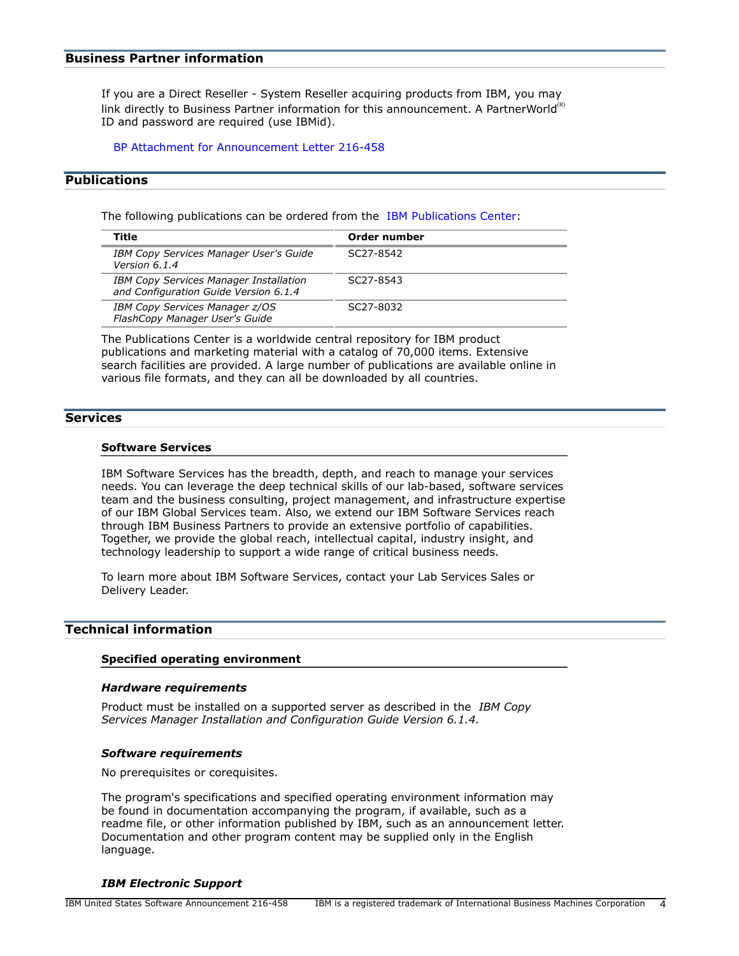## **Business Partner information**

If you are a Direct Reseller - System Reseller acquiring products from IBM, you may link directly to Business Partner information for this announcement. A PartnerWorld $<sup>(R)</sup>$ </sup> ID and password are required (use IBMid).

[BP Attachment for Announcement Letter 216-458](https://www.ibm.com/partnerworld/mem/sla.jsp?num=216-458)

# <span id="page-3-1"></span>**Publications**

The following publications can be ordered from the [IBM Publications Center:](http://www.ibm.com/shop/publications/order)

| Title                                                                                  | Order number |
|----------------------------------------------------------------------------------------|--------------|
| <b>IBM Copy Services Manager User's Guide</b><br>Version 6.1.4                         | SC27-8542    |
| <b>IBM Copy Services Manager Installation</b><br>and Configuration Guide Version 6.1.4 | SC27-8543    |
| IBM Copy Services Manager z/OS<br>FlashCopy Manager User's Guide                       | SC27-8032    |

The Publications Center is a worldwide central repository for IBM product publications and marketing material with a catalog of 70,000 items. Extensive search facilities are provided. A large number of publications are available online in various file formats, and they can all be downloaded by all countries.

## **Services**

#### **Software Services**

IBM Software Services has the breadth, depth, and reach to manage your services needs. You can leverage the deep technical skills of our lab-based, software services team and the business consulting, project management, and infrastructure expertise of our IBM Global Services team. Also, we extend our IBM Software Services reach through IBM Business Partners to provide an extensive portfolio of capabilities. Together, we provide the global reach, intellectual capital, industry insight, and technology leadership to support a wide range of critical business needs.

To learn more about IBM Software Services, contact your Lab Services Sales or Delivery Leader.

#### <span id="page-3-0"></span>**Technical information**

#### **Specified operating environment**

#### *Hardware requirements*

Product must be installed on a supported server as described in the *IBM Copy Services Manager Installation and Configuration Guide Version 6.1.4.*

#### *Software requirements*

No prerequisites or corequisites.

The program's specifications and specified operating environment information may be found in documentation accompanying the program, if available, such as a readme file, or other information published by IBM, such as an announcement letter. Documentation and other program content may be supplied only in the English language.

## *IBM Electronic Support*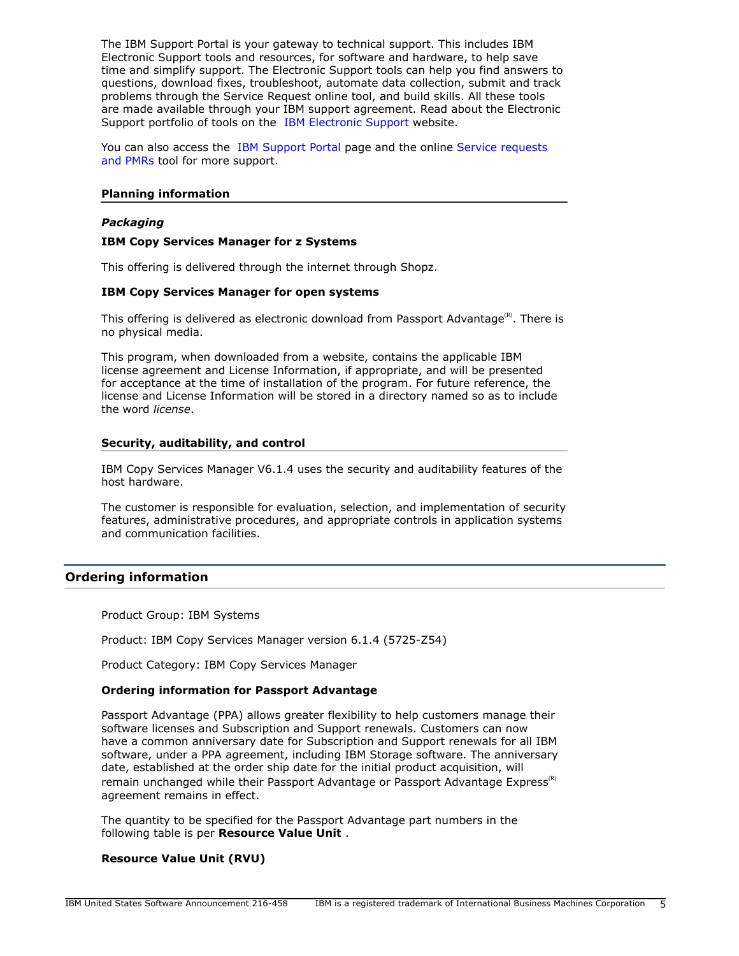The IBM Support Portal is your gateway to technical support. This includes IBM Electronic Support tools and resources, for software and hardware, to help save time and simplify support. The Electronic Support tools can help you find answers to questions, download fixes, troubleshoot, automate data collection, submit and track problems through the Service Request online tool, and build skills. All these tools are made available through your IBM support agreement. Read about the Electronic Support portfolio of tools on the [IBM Electronic Support](http://www.ibm.com/support/entry/portal/support) website.

You can also access the [IBM Support Portal](https://www.ibm.com/support/entry/portal/support) page and the online [Service requests](http://www.ibm.com/support/servicerequest) [and PMRs](http://www.ibm.com/support/servicerequest) tool for more support.

## **Planning information**

## *Packaging*

## **IBM Copy Services Manager for z Systems**

This offering is delivered through the internet through Shopz.

## **IBM Copy Services Manager for open systems**

This offering is delivered as electronic download from Passport Advantage $\mathbb{R}^{\infty}$ . There is no physical media.

This program, when downloaded from a website, contains the applicable IBM license agreement and License Information, if appropriate, and will be presented for acceptance at the time of installation of the program. For future reference, the license and License Information will be stored in a directory named so as to include the word *license*.

#### **Security, auditability, and control**

IBM Copy Services Manager V6.1.4 uses the security and auditability features of the host hardware.

The customer is responsible for evaluation, selection, and implementation of security features, administrative procedures, and appropriate controls in application systems and communication facilities.

# <span id="page-4-0"></span>**Ordering information**

Product Group: IBM Systems

Product: IBM Copy Services Manager version 6.1.4 (5725-Z54)

Product Category: IBM Copy Services Manager

#### **Ordering information for Passport Advantage**

Passport Advantage (PPA) allows greater flexibility to help customers manage their software licenses and Subscription and Support renewals. Customers can now have a common anniversary date for Subscription and Support renewals for all IBM software, under a PPA agreement, including IBM Storage software. The anniversary date, established at the order ship date for the initial product acquisition, will remain unchanged while their Passport Advantage or Passport Advantage Express<sup>(R)</sup> agreement remains in effect.

The quantity to be specified for the Passport Advantage part numbers in the following table is per **Resource Value Unit** .

## **Resource Value Unit (RVU)**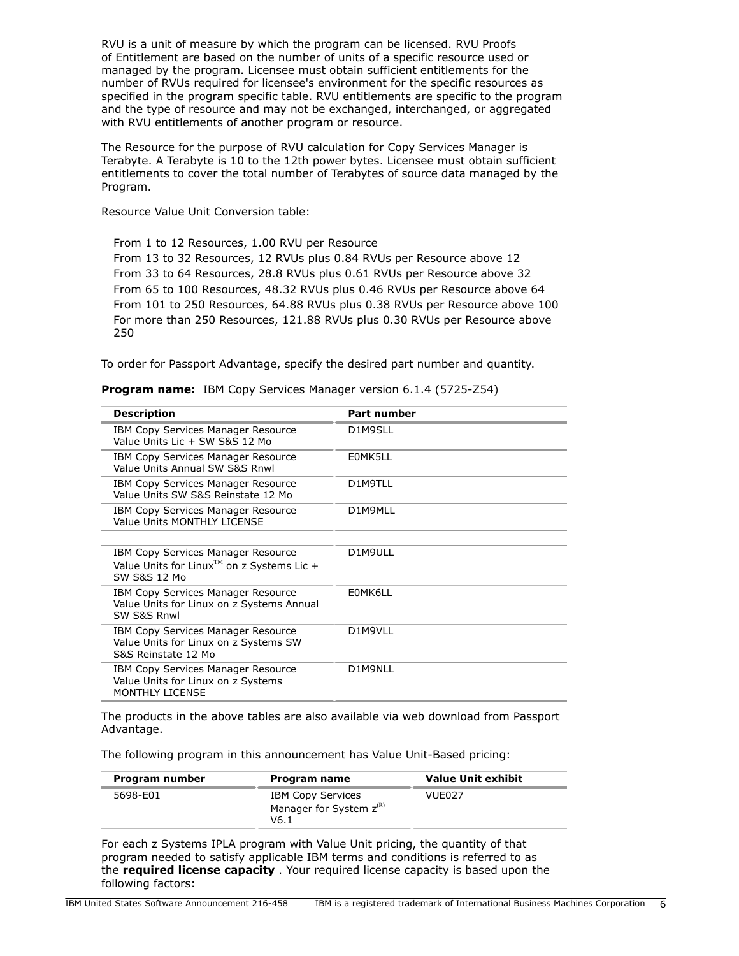RVU is a unit of measure by which the program can be licensed. RVU Proofs of Entitlement are based on the number of units of a specific resource used or managed by the program. Licensee must obtain sufficient entitlements for the number of RVUs required for licensee's environment for the specific resources as specified in the program specific table. RVU entitlements are specific to the program and the type of resource and may not be exchanged, interchanged, or aggregated with RVU entitlements of another program or resource.

The Resource for the purpose of RVU calculation for Copy Services Manager is Terabyte. A Terabyte is 10 to the 12th power bytes. Licensee must obtain sufficient entitlements to cover the total number of Terabytes of source data managed by the Program.

Resource Value Unit Conversion table:

From 1 to 12 Resources, 1.00 RVU per Resource From 13 to 32 Resources, 12 RVUs plus 0.84 RVUs per Resource above 12 From 33 to 64 Resources, 28.8 RVUs plus 0.61 RVUs per Resource above 32 From 65 to 100 Resources, 48.32 RVUs plus 0.46 RVUs per Resource above 64 From 101 to 250 Resources, 64.88 RVUs plus 0.38 RVUs per Resource above 100 For more than 250 Resources, 121.88 RVUs plus 0.30 RVUs per Resource above 250

To order for Passport Advantage, specify the desired part number and quantity.

| <b>Description</b>                                                                                           | <b>Part number</b> |
|--------------------------------------------------------------------------------------------------------------|--------------------|
| <b>IBM Copy Services Manager Resource</b><br>Value Units Lic + SW S&S 12 Mo                                  | D1M9SLL            |
| IBM Copy Services Manager Resource<br>Value Units Annual SW S&S Rnwl                                         | E0MK5LL            |
| IBM Copy Services Manager Resource<br>Value Units SW S&S Reinstate 12 Mo                                     | D1M9TLL            |
| IBM Copy Services Manager Resource<br>Value Units MONTHLY LICENSE                                            | D1M9MLL            |
| IBM Copy Services Manager Resource<br>Value Units for Linux <sup>TM</sup> on z Systems Lic +<br>SW S&S 12 Mo | D1M9ULL            |
| IBM Copy Services Manager Resource<br>Value Units for Linux on z Systems Annual<br>SW S&S Rnwl               | E0MK6LL            |
| IBM Copy Services Manager Resource<br>Value Units for Linux on z Systems SW<br>S&S Reinstate 12 Mo           | D1M9VLL            |
| IBM Copy Services Manager Resource<br>Value Units for Linux on z Systems<br>MONTHLY LICENSE                  | D1M9NLL            |

**Program name:** IBM Copy Services Manager version 6.1.4 (5725-Z54)

The products in the above tables are also available via web download from Passport Advantage.

The following program in this announcement has Value Unit-Based pricing:

| Program number | Program name                                                     | <b>Value Unit exhibit</b> |
|----------------|------------------------------------------------------------------|---------------------------|
| 5698-E01       | <b>IBM Copy Services</b><br>Manager for System $z^{(R)}$<br>V6.1 | VUE027                    |

For each z Systems IPLA program with Value Unit pricing, the quantity of that program needed to satisfy applicable IBM terms and conditions is referred to as the **required license capacity** . Your required license capacity is based upon the following factors: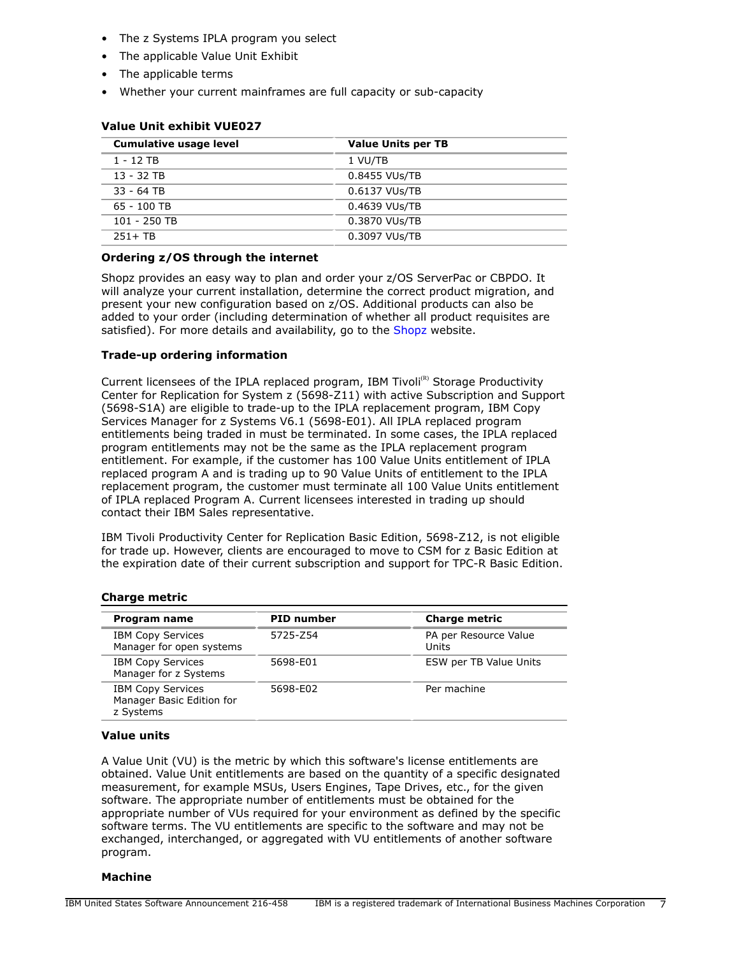- The z Systems IPLA program you select
- The applicable Value Unit Exhibit
- The applicable terms
- Whether your current mainframes are full capacity or sub-capacity

| <b>Cumulative usage level</b> | <b>Value Units per TB</b> |
|-------------------------------|---------------------------|
| 1 - 12 TB                     | 1 VU/TB                   |
| $13 - 32$ TB                  | 0.8455 VUs/TB             |
| 33 - 64 TB                    | 0.6137 VUs/TB             |
| $65 - 100$ TB                 | 0.4639 VUs/TB             |
| $101 - 250$ TB                | 0.3870 VUs/TB             |
| $251 + TR$                    | 0.3097 VUs/TB             |

# **Value Unit exhibit VUE027**

# **Ordering z/OS through the internet**

Shopz provides an easy way to plan and order your z/OS ServerPac or CBPDO. It will analyze your current installation, determine the correct product migration, and present your new configuration based on z/OS. Additional products can also be added to your order (including determination of whether all product requisites are satisfied). For more details and availability, go to the [Shopz](http://www.ibm.com/software/ShopzSeries) website.

# **Trade-up ordering information**

Current licensees of the IPLA replaced program, IBM Tivoli<sup>(R)</sup> Storage Productivity Center for Replication for System z (5698-Z11) with active Subscription and Support (5698-S1A) are eligible to trade-up to the IPLA replacement program, IBM Copy Services Manager for z Systems V6.1 (5698-E01). All IPLA replaced program entitlements being traded in must be terminated. In some cases, the IPLA replaced program entitlements may not be the same as the IPLA replacement program entitlement. For example, if the customer has 100 Value Units entitlement of IPLA replaced program A and is trading up to 90 Value Units of entitlement to the IPLA replacement program, the customer must terminate all 100 Value Units entitlement of IPLA replaced Program A. Current licensees interested in trading up should contact their IBM Sales representative.

IBM Tivoli Productivity Center for Replication Basic Edition, 5698-Z12, is not eligible for trade up. However, clients are encouraged to move to CSM for z Basic Edition at the expiration date of their current subscription and support for TPC-R Basic Edition.

## **Charge metric**

| Program name                                                       | <b>PID number</b> | <b>Charge metric</b>           |
|--------------------------------------------------------------------|-------------------|--------------------------------|
| <b>IBM Copy Services</b><br>Manager for open systems               | 5725-Z54          | PA per Resource Value<br>Units |
| <b>IBM Copy Services</b><br>Manager for z Systems                  | 5698-E01          | ESW per TB Value Units         |
| <b>IBM Copy Services</b><br>Manager Basic Edition for<br>z Systems | 5698-E02          | Per machine                    |

## **Value units**

A Value Unit (VU) is the metric by which this software's license entitlements are obtained. Value Unit entitlements are based on the quantity of a specific designated measurement, for example MSUs, Users Engines, Tape Drives, etc., for the given software. The appropriate number of entitlements must be obtained for the appropriate number of VUs required for your environment as defined by the specific software terms. The VU entitlements are specific to the software and may not be exchanged, interchanged, or aggregated with VU entitlements of another software program.

## **Machine**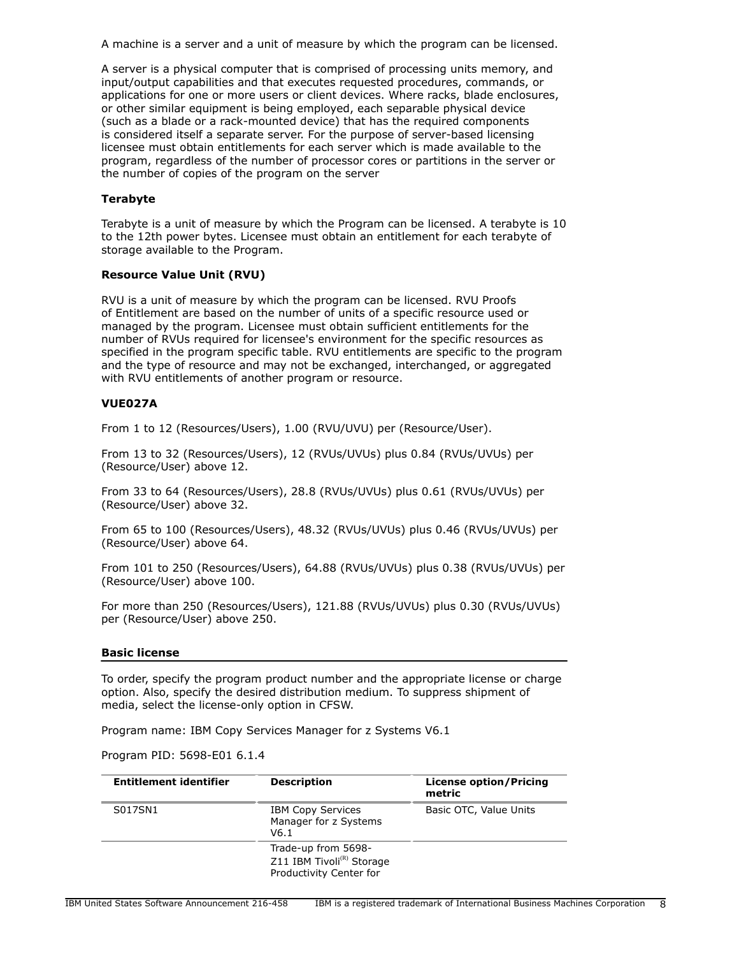A machine is a server and a unit of measure by which the program can be licensed.

A server is a physical computer that is comprised of processing units memory, and input/output capabilities and that executes requested procedures, commands, or applications for one or more users or client devices. Where racks, blade enclosures, or other similar equipment is being employed, each separable physical device (such as a blade or a rack-mounted device) that has the required components is considered itself a separate server. For the purpose of server-based licensing licensee must obtain entitlements for each server which is made available to the program, regardless of the number of processor cores or partitions in the server or the number of copies of the program on the server

# **Terabyte**

Terabyte is a unit of measure by which the Program can be licensed. A terabyte is 10 to the 12th power bytes. Licensee must obtain an entitlement for each terabyte of storage available to the Program.

# **Resource Value Unit (RVU)**

RVU is a unit of measure by which the program can be licensed. RVU Proofs of Entitlement are based on the number of units of a specific resource used or managed by the program. Licensee must obtain sufficient entitlements for the number of RVUs required for licensee's environment for the specific resources as specified in the program specific table. RVU entitlements are specific to the program and the type of resource and may not be exchanged, interchanged, or aggregated with RVU entitlements of another program or resource.

# **VUE027A**

From 1 to 12 (Resources/Users), 1.00 (RVU/UVU) per (Resource/User).

From 13 to 32 (Resources/Users), 12 (RVUs/UVUs) plus 0.84 (RVUs/UVUs) per (Resource/User) above 12.

From 33 to 64 (Resources/Users), 28.8 (RVUs/UVUs) plus 0.61 (RVUs/UVUs) per (Resource/User) above 32.

From 65 to 100 (Resources/Users), 48.32 (RVUs/UVUs) plus 0.46 (RVUs/UVUs) per (Resource/User) above 64.

From 101 to 250 (Resources/Users), 64.88 (RVUs/UVUs) plus 0.38 (RVUs/UVUs) per (Resource/User) above 100.

For more than 250 (Resources/Users), 121.88 (RVUs/UVUs) plus 0.30 (RVUs/UVUs) per (Resource/User) above 250.

## **Basic license**

To order, specify the program product number and the appropriate license or charge option. Also, specify the desired distribution medium. To suppress shipment of media, select the license-only option in CFSW.

Program name: IBM Copy Services Manager for z Systems V6.1

Program PID: 5698-E01 6.1.4

| <b>Entitlement identifier</b> | <b>Description</b>                                                                      | <b>License option/Pricing</b><br>metric |
|-------------------------------|-----------------------------------------------------------------------------------------|-----------------------------------------|
| S017SN1                       | <b>IBM Copy Services</b><br>Manager for z Systems<br>V <sub>6</sub> .1                  | Basic OTC, Value Units                  |
|                               | Trade-up from 5698-<br>Z11 IBM Tivoli <sup>(R)</sup> Storage<br>Productivity Center for |                                         |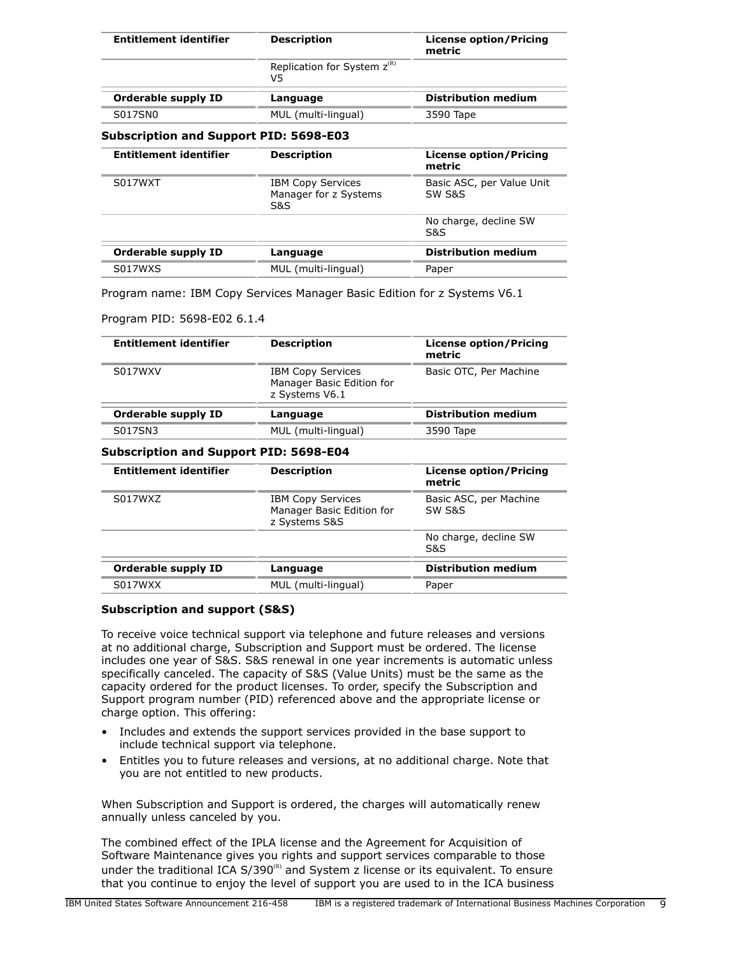| <b>Entitlement identifier</b>                                                  | <b>Description</b>                                       | <b>License option/Pricing</b><br>metric |
|--------------------------------------------------------------------------------|----------------------------------------------------------|-----------------------------------------|
|                                                                                | Replication for System $z^{(R)}$<br>V5                   |                                         |
| <b>Orderable supply ID</b>                                                     | Language                                                 | <b>Distribution medium</b>              |
| S017SN0                                                                        | MUL (multi-lingual)                                      | 3590 Tape                               |
| <b>Subscription and Support PID: 5698-E03</b><br><b>Entitlement identifier</b> | <b>Description</b>                                       | <b>License option/Pricing</b><br>metric |
| S017WXT                                                                        | <b>IBM Copy Services</b><br>Manager for z Systems<br>S&S | Basic ASC, per Value Unit<br>SW S&S     |
|                                                                                |                                                          | No charge, decline SW<br>S&S            |
| <b>Orderable supply ID</b>                                                     | Language                                                 | <b>Distribution medium</b>              |

Program name: IBM Copy Services Manager Basic Edition for z Systems V6.1

S017WXS MUL (multi-lingual) Paper

## Program PID: 5698-E02 6.1.4

| <b>Entitlement identifier</b> | <b>Description</b>                                                      | <b>License option/Pricing</b><br>metric |
|-------------------------------|-------------------------------------------------------------------------|-----------------------------------------|
| S017WXV                       | <b>IBM Copy Services</b><br>Manager Basic Edition for<br>z Systems V6.1 | Basic OTC, Per Machine                  |
| Orderable supply ID           | Language                                                                | <b>Distribution medium</b>              |
| S017SN3                       | MUL (multi-lingual)                                                     | 3590 Tape                               |

## **Subscription and Support PID: 5698-E04**

| <b>Entitlement identifier</b> | <b>Description</b>                                                     | <b>License option/Pricing</b><br>metric |
|-------------------------------|------------------------------------------------------------------------|-----------------------------------------|
| S017WXZ                       | <b>IBM Copy Services</b><br>Manager Basic Edition for<br>z Systems S&S | Basic ASC, per Machine<br>SW S&S        |
|                               |                                                                        | No charge, decline SW<br>S&S            |
| Orderable supply ID           | Language                                                               | <b>Distribution medium</b>              |
| S017WXX                       | MUL (multi-lingual)                                                    | Paper                                   |

## **Subscription and support (S&S)**

To receive voice technical support via telephone and future releases and versions at no additional charge, Subscription and Support must be ordered. The license includes one year of S&S. S&S renewal in one year increments is automatic unless specifically canceled. The capacity of S&S (Value Units) must be the same as the capacity ordered for the product licenses. To order, specify the Subscription and Support program number (PID) referenced above and the appropriate license or charge option. This offering:

- Includes and extends the support services provided in the base support to include technical support via telephone.
- Entitles you to future releases and versions, at no additional charge. Note that you are not entitled to new products.

When Subscription and Support is ordered, the charges will automatically renew annually unless canceled by you.

The combined effect of the IPLA license and the Agreement for Acquisition of Software Maintenance gives you rights and support services comparable to those under the traditional ICA  $S/390^{(R)}$  and System z license or its equivalent. To ensure that you continue to enjoy the level of support you are used to in the ICA business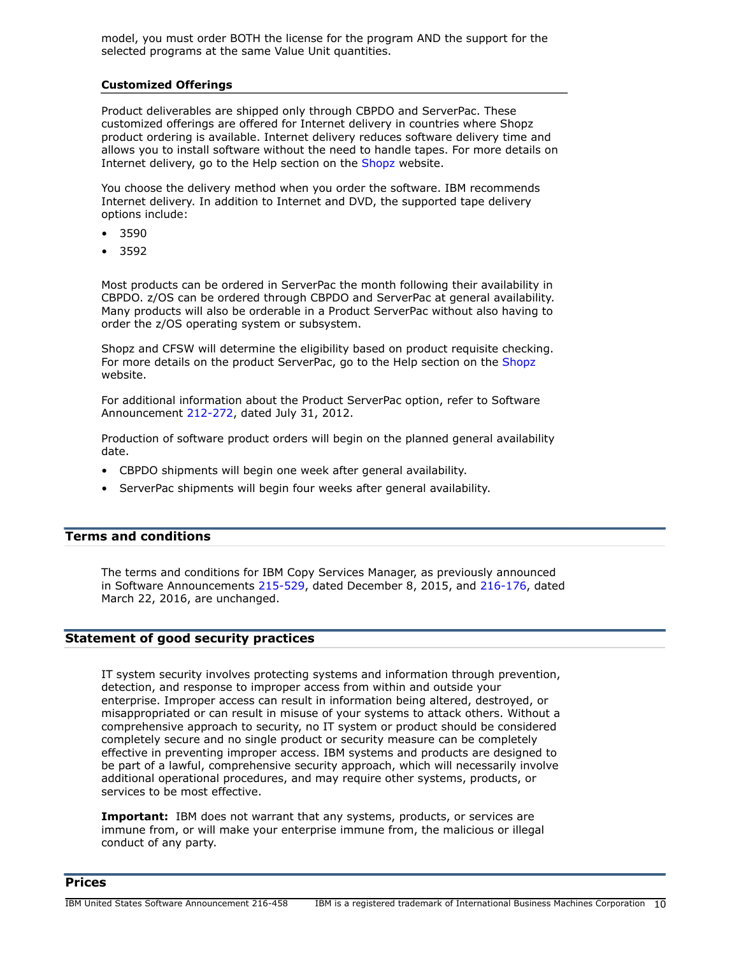model, you must order BOTH the license for the program AND the support for the selected programs at the same Value Unit quantities.

## **Customized Offerings**

Product deliverables are shipped only through CBPDO and ServerPac. These customized offerings are offered for Internet delivery in countries where Shopz product ordering is available. Internet delivery reduces software delivery time and allows you to install software without the need to handle tapes. For more details on Internet delivery, go to the Help section on the [Shopz](http://www.software.ibm.com/ShopzSeries) website.

You choose the delivery method when you order the software. IBM recommends Internet delivery. In addition to Internet and DVD, the supported tape delivery options include:

- 3590
- 3592

Most products can be ordered in ServerPac the month following their availability in CBPDO. z/OS can be ordered through CBPDO and ServerPac at general availability. Many products will also be orderable in a Product ServerPac without also having to order the z/OS operating system or subsystem.

Shopz and CFSW will determine the eligibility based on product requisite checking. For more details on the product ServerPac, go to the Help section on the [Shopz](http://www.software.ibm.com/ShopzSeries) website.

For additional information about the Product ServerPac option, refer to Software Announcement [212-272](http://www.ibm.com/common/ssi/cgi-bin/ssialias?infotype=an&subtype=ca&appname=gpateam&supplier=897&letternum=ENUS212-272), dated July 31, 2012.

Production of software product orders will begin on the planned general availability date.

- CBPDO shipments will begin one week after general availability.
- ServerPac shipments will begin four weeks after general availability.

# <span id="page-9-0"></span>**Terms and conditions**

The terms and conditions for IBM Copy Services Manager, as previously announced in Software Announcements [215-529,](http://www.ibm.com/common/ssi/cgi-bin/ssialias?infotype=an&subtype=ca&appname=gpateam&supplier=897&letternum=ENUS215-529) dated December 8, 2015, and [216-176](http://www.ibm.com/common/ssi/cgi-bin/ssialias?infotype=an&subtype=ca&appname=gpateam&supplier=897&letternum=ENUS216-176), dated March 22, 2016, are unchanged.

# **Statement of good security practices**

IT system security involves protecting systems and information through prevention, detection, and response to improper access from within and outside your enterprise. Improper access can result in information being altered, destroyed, or misappropriated or can result in misuse of your systems to attack others. Without a comprehensive approach to security, no IT system or product should be considered completely secure and no single product or security measure can be completely effective in preventing improper access. IBM systems and products are designed to be part of a lawful, comprehensive security approach, which will necessarily involve additional operational procedures, and may require other systems, products, or services to be most effective.

**Important:** IBM does not warrant that any systems, products, or services are immune from, or will make your enterprise immune from, the malicious or illegal conduct of any party.

# <span id="page-9-1"></span>**Prices**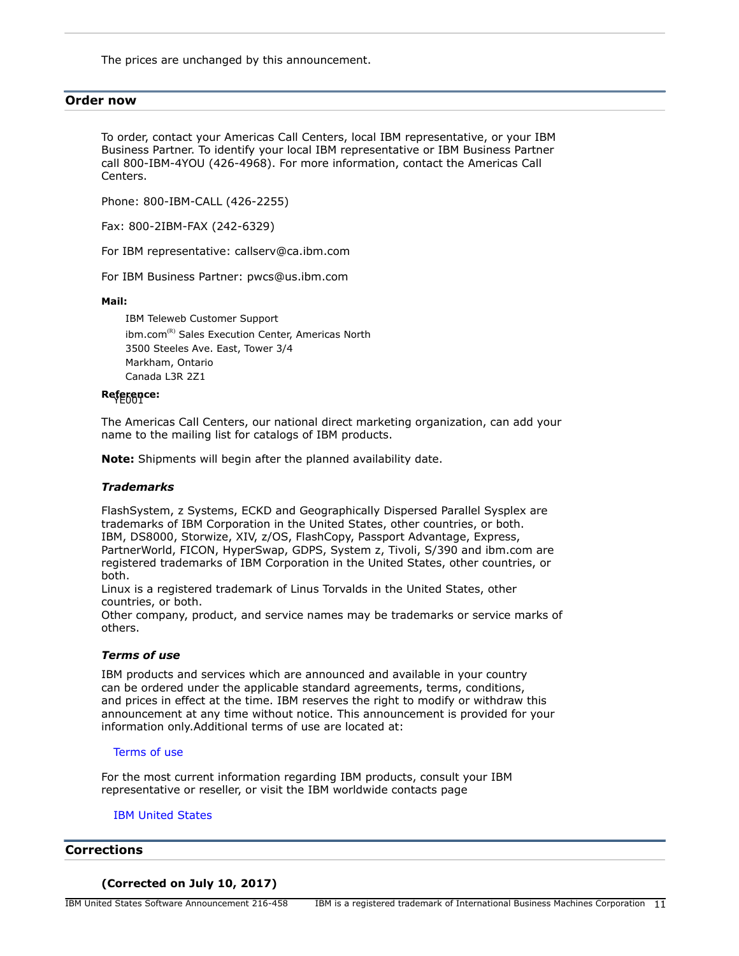The prices are unchanged by this announcement.

## <span id="page-10-0"></span>**Order now**

To order, contact your Americas Call Centers, local IBM representative, or your IBM Business Partner. To identify your local IBM representative or IBM Business Partner call 800-IBM-4YOU (426-4968). For more information, contact the Americas Call Centers.

Phone: 800-IBM-CALL (426-2255)

Fax: 800-2IBM-FAX (242-6329)

For IBM representative: callserv@ca.ibm.com

For IBM Business Partner: pwcs@us.ibm.com

**Mail:**

IBM Teleweb Customer Support  $ibm.com^{(R)}$  Sales Execution Center, Americas North 3500 Steeles Ave. East, Tower 3/4 Markham, Ontario Canada L3R 2Z1

# Reference:

The Americas Call Centers, our national direct marketing organization, can add your name to the mailing list for catalogs of IBM products.

**Note:** Shipments will begin after the planned availability date.

## *Trademarks*

FlashSystem, z Systems, ECKD and Geographically Dispersed Parallel Sysplex are trademarks of IBM Corporation in the United States, other countries, or both. IBM, DS8000, Storwize, XIV, z/OS, FlashCopy, Passport Advantage, Express, PartnerWorld, FICON, HyperSwap, GDPS, System z, Tivoli, S/390 and ibm.com are registered trademarks of IBM Corporation in the United States, other countries, or both.

Linux is a registered trademark of Linus Torvalds in the United States, other countries, or both.

Other company, product, and service names may be trademarks or service marks of others.

## *Terms of use*

IBM products and services which are announced and available in your country can be ordered under the applicable standard agreements, terms, conditions, and prices in effect at the time. IBM reserves the right to modify or withdraw this announcement at any time without notice. This announcement is provided for your information only.Additional terms of use are located at:

#### [Terms of use](http://www.ibm.com/legal/us/en/)

For the most current information regarding IBM products, consult your IBM representative or reseller, or visit the IBM worldwide contacts page

## [IBM United States](http://www.ibm.com/planetwide/us/)

## <span id="page-10-1"></span>**Corrections**

## **(Corrected on July 10, 2017)**